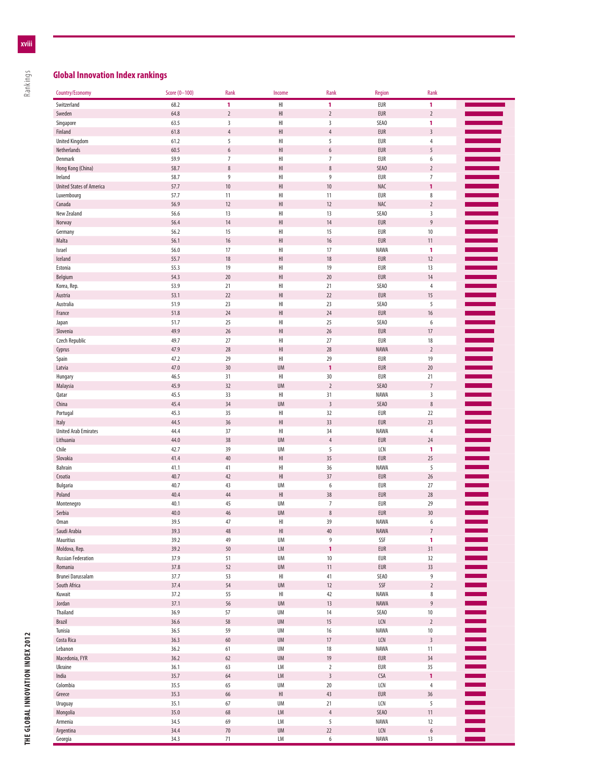## **Global Innovation Index rankings**

Rankings

| Switzerland                     | 68.2 | 1                | $\mathsf{H}\mathsf{I}$ | $\mathbf{1}$         | EUR         | 1                        |                       |
|---------------------------------|------|------------------|------------------------|----------------------|-------------|--------------------------|-----------------------|
| Sweden                          | 64.8 | $\overline{2}$   | H                      | $\sqrt{2}$           | <b>EUR</b>  | $\sqrt{2}$               |                       |
| Singapore                       | 63.5 | 3                | HI                     | 3                    | SEA0        | 1                        |                       |
| Finland                         | 61.8 | $\sqrt{4}$       | H <sub>l</sub>         | $\overline{4}$       | <b>EUR</b>  | $\overline{3}$           |                       |
| <b>United Kingdom</b>           | 61.2 | 5                | H                      | 5                    | EUR         | $\overline{4}$           |                       |
| Netherlands                     | 60.5 | $\boldsymbol{6}$ | H <sub>l</sub>         | $\boldsymbol{6}$     | <b>EUR</b>  | 5                        |                       |
| Denmark                         | 59.9 | $7\overline{ }$  | HI                     | $\overline{7}$       | EUR         | $\boldsymbol{6}$         |                       |
| Hong Kong (China)               | 58.7 | $\,$ 8 $\,$      | H1                     | $\,$ 8 $\,$          | SEA0        | $\overline{2}$           |                       |
| Ireland                         | 58.7 | $\boldsymbol{9}$ | HI                     | 9                    | EUR         | $\overline{7}$           |                       |
| <b>United States of America</b> | 57.7 | $10\,$           | H                      | 10                   | <b>NAC</b>  | $\mathbf{1}$             |                       |
| Luxembourg                      | 57.7 | 11               | HI                     | 11                   | EUR         | $\,$ 8 $\,$              |                       |
| Canada                          | 56.9 | 12               | H                      | 12                   | <b>NAC</b>  | $\overline{2}$           |                       |
| New Zealand                     | 56.6 | 13               | H                      | 13                   | SEA0        | $\overline{\mathbf{3}}$  |                       |
| Norway                          | 56.4 | 14               | H1                     | 14                   | <b>EUR</b>  | $\boldsymbol{9}$         |                       |
| Germany                         | 56.2 | 15               | HI                     | 15                   | EUR         | $10$                     |                       |
|                                 | 56.1 |                  | H1                     | 16                   | <b>EUR</b>  | 11                       |                       |
| Malta                           |      | $16\,$           |                        |                      |             |                          | Ì                     |
| Israel                          | 56.0 | 17               | H                      | 17                   | <b>NAWA</b> | 1                        |                       |
| Iceland                         | 55.7 | 18               | H1                     | 18                   | <b>EUR</b>  | 12                       |                       |
| Estonia                         | 55.3 | 19               | H                      | 19                   | EUR         | 13                       |                       |
| Belgium                         | 54.3 | 20               | H <sub>l</sub>         | $20\,$               | <b>EUR</b>  | 14                       |                       |
| Korea, Rep.                     | 53.9 | 21               | HI                     | 21                   | SEA0        | $\overline{4}$           |                       |
| Austria                         | 53.1 | 22               | H <sub>l</sub>         | 22                   | <b>EUR</b>  | 15                       |                       |
| Australia                       | 51.9 | 23               | HI                     | 23                   | SEA0        | 5                        |                       |
| France                          | 51.8 | 24               | $\mathsf{H}\mathsf{I}$ | 24                   | EUR         | $16\,$                   |                       |
| Japan                           | 51.7 | 25               | HI                     | 25                   | SEA0        | $\boldsymbol{6}$         |                       |
| Slovenia                        | 49.9 | $26$             | H <sub>l</sub>         | 26                   | <b>EUR</b>  | 17                       |                       |
| Czech Republic                  | 49.7 | 27               | H                      | 27                   | EUR         | $18\,$                   |                       |
| Cyprus                          | 47.9 | 28               | H <sub>l</sub>         | 28                   | <b>NAWA</b> | $\sqrt{2}$               | a an                  |
| Spain                           | 47.2 | 29               | HI                     | 29                   | EUR         | 19                       | a sa n                |
| Latvia                          | 47.0 | 30               | <b>UM</b>              | $\mathbf{1}$         | <b>EUR</b>  | 20                       |                       |
| Hungary                         | 46.5 | 31               | HI                     | 30                   | EUR         | 21                       |                       |
| Malaysia                        | 45.9 | 32               | <b>UM</b>              | $\sqrt{2}$           | SEA0        | $\overline{\mathcal{I}}$ | <b>Notably</b>        |
| Qatar                           | 45.5 | 33               | HI                     | 31                   | NAWA        | 3                        |                       |
| China                           | 45.4 | 34               | <b>UM</b>              | $\overline{3}$       | SEA0        | $\,$ 8 $\,$              |                       |
| Portugal                        | 45.3 | 35               | HI                     | 32                   | EUR         | 22                       |                       |
| Italy                           | 44.5 | 36               | H <sub>l</sub>         | 33                   | EUR         | 23                       |                       |
| <b>United Arab Emirates</b>     | 44.4 | 37               | HI                     | 34                   | NAWA        | $\sqrt{4}$               |                       |
| Lithuania                       | 44.0 | 38               | <b>UM</b>              | $\overline{4}$       | <b>EUR</b>  | 24                       |                       |
| Chile                           | 42.7 | 39               | UM                     | 5                    | LCN         | 1                        |                       |
| Slovakia                        | 41.4 | 40               | H1                     | 35                   | <b>EUR</b>  | 25                       |                       |
| Bahrain                         | 41.1 | 41               | HI                     | 36                   | NAWA        | 5                        |                       |
|                                 | 40.7 | 42               | H1                     | 37                   | <b>EUR</b>  | $26$                     |                       |
| Croatia                         | 40.7 | 43               | UM                     | $\boldsymbol{6}$     | EUR         | 27                       |                       |
| Bulgaria                        |      |                  | H1                     |                      |             |                          | an an S               |
| Poland                          | 40.4 | 44               | <b>UM</b>              | 38<br>$\overline{7}$ | EUR         | 28                       |                       |
| Montenegro                      | 40.1 | 45               |                        |                      | EUR         | 29                       |                       |
| Serbia                          | 40.0 | 46               | <b>UM</b>              | $\, 8$               | <b>EUR</b>  | 30                       |                       |
| <b>Oman</b>                     | 39.5 | 47               | HI                     | 39                   | NAWA        | 6                        |                       |
| Saudi Arabia                    | 39.3 | 48               | H <sub>l</sub>         | 40                   | <b>NAWA</b> | $\overline{7}$           |                       |
| Mauritius                       | 39.2 | 49               | UM                     | 9                    | SSF         | 1                        |                       |
| Moldova, Rep.                   | 39.2 | $50\,$           | LM                     | 1                    | EUR         | 31                       |                       |
| <b>Russian Federation</b>       | 37.9 | 51               | UM                     | 10                   | EUR         | 32                       |                       |
| Romania                         | 37.8 | 52               | UM                     | 11                   | EUR         | $33\,$                   | $\equiv$              |
| Brunei Darussalam               | 37.7 | 53               | HI                     | 41                   | SEA0        | 9                        |                       |
| South Africa                    | 37.4 | 54               | UM                     | 12                   | SSF         | $\sqrt{2}$               |                       |
| Kuwait                          | 37.2 | 55               | HI                     | 42                   | NAWA        | $\,$ 8 $\,$              |                       |
| Jordan                          | 37.1 | 56               | <b>UM</b>              | $13$                 | NAWA        | $\boldsymbol{9}$         |                       |
| Thailand                        | 36.9 | 57               | UM                     | 14                   | SEA0        | $10\,$                   |                       |
| Brazil                          | 36.6 | 58               | UM                     | $15\,$               | LCN         | $\sqrt{2}$               | <b>Contract Co</b>    |
| Tunisia                         | 36.5 | 59               | UM                     | 16                   | NAWA        | $10\,$                   | <b>The College</b>    |
| Costa Rica                      | 36.3 | $60\,$           | UM                     | $17\,$               | LCN         | $\sqrt{3}$               |                       |
| Lebanon                         | 36.2 | 61               | UM                     | $18\,$               | NAWA        | 11                       |                       |
| Macedonia, FYR                  | 36.2 | $62\,$           | UM                     | 19                   | EUR         | 34                       | i<br>I<br>I<br>I<br>I |
| Ukraine                         | 36.1 | 63               | LМ                     | $\sqrt{2}$           | EUR         | 35                       |                       |
| India                           | 35.7 | 64               | LM                     | $\overline{3}$       | <b>CSA</b>  | 1                        |                       |
| Colombia                        | 35.5 | 65               | UM                     | 20                   | LCN         | $\overline{4}$           |                       |
| Greece                          | 35.3 | 66               | $\mathsf{HI}$          | 43                   | EUR         | $36$                     |                       |
| Uruguay                         | 35.1 | 67               | UM                     | 21                   | LCN         | 5                        |                       |
| Mongolia                        | 35.0 | 68               | LM                     | $\sqrt{4}$           | SEA0        | 11                       |                       |
| Armenia                         | 34.5 | 69               | LM                     | $\sqrt{5}$           | NAWA        | 12                       |                       |
| Argentina                       | 34.4 | $70\,$           | UM                     | 22                   | LCN         | $\boldsymbol{6}$         | Ξ                     |
| Georgia                         | 34.3 | $71\,$           | LM                     | $\boldsymbol{6}$     | NAWA        | 13                       |                       |

Country/Economy Score (0–100) Rank Income Rank Region Rank